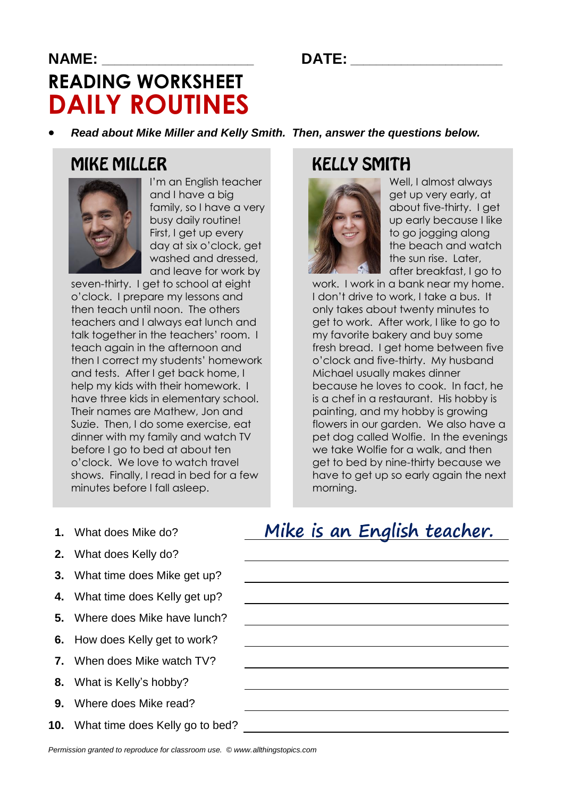#### **NAME: \_\_\_\_\_\_\_\_\_\_\_\_\_\_\_\_\_\_\_\_\_\_\_\_ DATE: \_\_\_\_\_\_\_\_\_\_\_\_\_\_\_\_\_\_\_\_\_\_\_\_**

# **READING WORKSHEET DAILY ROUTINES**

*Read about Mike Miller and Kelly Smith. Then, answer the questions below.*

#### **MIKE MILLER**



I'm an English teacher and I have a big family, so I have a very busy daily routine! First, I get up every day at six o'clock, get washed and dressed, and leave for work by

seven-thirty. I get to school at eight o'clock. I prepare my lessons and then teach until noon. The others teachers and I always eat lunch and talk together in the teachers' room. I teach again in the afternoon and then I correct my students' homework and tests. After I get back home, I help my kids with their homework. I have three kids in elementary school. Their names are Mathew, Jon and Suzie. Then, I do some exercise, eat dinner with my family and watch TV before I go to bed at about ten o'clock. We love to watch travel shows. Finally, I read in bed for a few minutes before I fall asleep.

### **KELLY SMITH**



Well, I almost always get up very early, at about five-thirty. I get up early because I like to go jogging along the beach and watch the sun rise. Later, after breakfast, I go to

work. I work in a bank near my home. I don't drive to work, I take a bus. It only takes about twenty minutes to get to work. After work, I like to go to my favorite bakery and buy some fresh bread. I get home between five o'clock and five-thirty. My husband Michael usually makes dinner because he loves to cook. In fact, he is a chef in a restaurant. His hobby is painting, and my hobby is growing flowers in our garden. We also have a pet dog called Wolfie. In the evenings we take Wolfie for a walk, and then get to bed by nine-thirty because we have to get up so early again the next morning.

- **1.** What does Mike do?
- **2.** What does Kelly do?
- **3.** What time does Mike get up?
- **4.** What time does Kelly get up?
- **5.** Where does Mike have lunch?
- **6.** How does Kelly get to work?
- **7.** When does Mike watch TV?
- **8.** What is Kelly's hobby?
- **9.** Where does Mike read?
- **10.** What time does Kelly go to bed?

#### Mike is an English teacher.